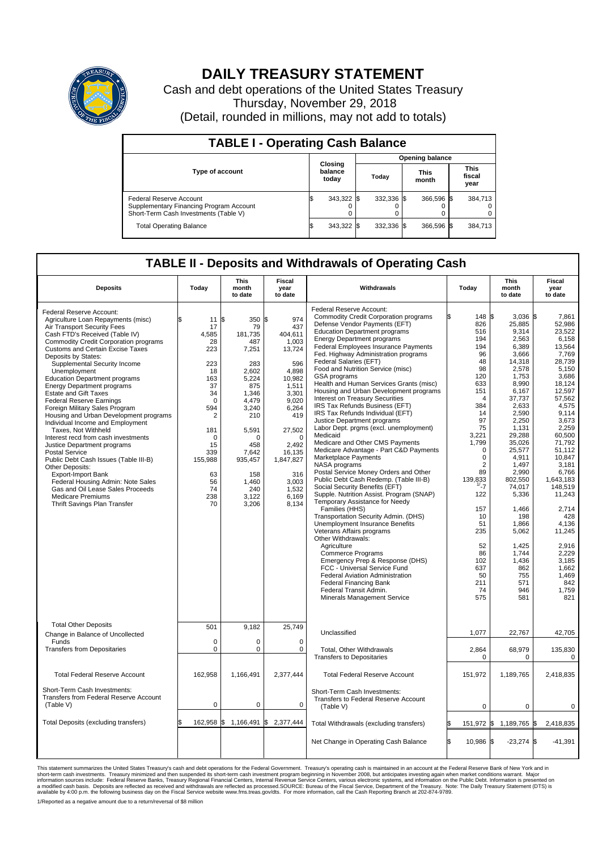

## **DAILY TREASURY STATEMENT**

Cash and debt operations of the United States Treasury Thursday, November 29, 2018 (Detail, rounded in millions, may not add to totals)

| <b>TABLE I - Operating Cash Balance</b>                                                                     |     |                             |  |                        |  |                      |                               |         |  |  |  |
|-------------------------------------------------------------------------------------------------------------|-----|-----------------------------|--|------------------------|--|----------------------|-------------------------------|---------|--|--|--|
|                                                                                                             |     |                             |  | <b>Opening balance</b> |  |                      |                               |         |  |  |  |
| Type of account                                                                                             |     | Closing<br>balance<br>today |  | Today                  |  | <b>This</b><br>month | <b>This</b><br>fiscal<br>year |         |  |  |  |
| Federal Reserve Account<br>Supplementary Financing Program Account<br>Short-Term Cash Investments (Table V) |     | 343,322                     |  | 332.336 \$             |  | 366.596 \$           |                               | 384.713 |  |  |  |
| <b>Total Operating Balance</b>                                                                              | I\$ | 343,322 \$                  |  | 332.336 \$             |  | 366,596 \$           |                               | 384,713 |  |  |  |

## **TABLE II - Deposits and Withdrawals of Operating Cash**

| <b>Deposits</b>                                                                                                                                                                                                                                                                                                                                                                                                                                                                                                                                                                                                                                                                                                                                                                                                                                                                                                       | Today                                                                                                                                                                                | <b>This</b><br>month<br>to date                                                                                                                                                                    | <b>Fiscal</b><br>year<br>to date                                                                                                                                                                               | Withdrawals                                                                                                                                                                                                                                                                                                                                                                                                                                                                                                                                                                                                                                                                                                                                                                                                                                                                                                                                                                                                                                                                                                                                                                                                                                                                                                                                                  | Today                                                                                                                                                                                                                                                                                               | <b>This</b><br>month<br>to date                                                                                                                                                                                                                                                                                                             | <b>Fiscal</b><br>year<br>to date                                                                                                                                                                                                                                                                                                                       |  |  |
|-----------------------------------------------------------------------------------------------------------------------------------------------------------------------------------------------------------------------------------------------------------------------------------------------------------------------------------------------------------------------------------------------------------------------------------------------------------------------------------------------------------------------------------------------------------------------------------------------------------------------------------------------------------------------------------------------------------------------------------------------------------------------------------------------------------------------------------------------------------------------------------------------------------------------|--------------------------------------------------------------------------------------------------------------------------------------------------------------------------------------|----------------------------------------------------------------------------------------------------------------------------------------------------------------------------------------------------|----------------------------------------------------------------------------------------------------------------------------------------------------------------------------------------------------------------|--------------------------------------------------------------------------------------------------------------------------------------------------------------------------------------------------------------------------------------------------------------------------------------------------------------------------------------------------------------------------------------------------------------------------------------------------------------------------------------------------------------------------------------------------------------------------------------------------------------------------------------------------------------------------------------------------------------------------------------------------------------------------------------------------------------------------------------------------------------------------------------------------------------------------------------------------------------------------------------------------------------------------------------------------------------------------------------------------------------------------------------------------------------------------------------------------------------------------------------------------------------------------------------------------------------------------------------------------------------|-----------------------------------------------------------------------------------------------------------------------------------------------------------------------------------------------------------------------------------------------------------------------------------------------------|---------------------------------------------------------------------------------------------------------------------------------------------------------------------------------------------------------------------------------------------------------------------------------------------------------------------------------------------|--------------------------------------------------------------------------------------------------------------------------------------------------------------------------------------------------------------------------------------------------------------------------------------------------------------------------------------------------------|--|--|
| Federal Reserve Account:<br>Agriculture Loan Repayments (misc)<br>Air Transport Security Fees<br>Cash FTD's Received (Table IV)<br><b>Commodity Credit Corporation programs</b><br><b>Customs and Certain Excise Taxes</b><br>Deposits by States:<br>Supplemental Security Income<br>Unemployment<br><b>Education Department programs</b><br><b>Energy Department programs</b><br><b>Estate and Gift Taxes</b><br><b>Federal Reserve Earnings</b><br>Foreign Military Sales Program<br>Housing and Urban Development programs<br>Individual Income and Employment<br>Taxes, Not Withheld<br>Interest recd from cash investments<br>Justice Department programs<br><b>Postal Service</b><br>Public Debt Cash Issues (Table III-B)<br>Other Deposits:<br><b>Export-Import Bank</b><br>Federal Housing Admin: Note Sales<br>Gas and Oil Lease Sales Proceeds<br><b>Medicare Premiums</b><br>Thrift Savings Plan Transfer | 11S<br>\$<br>17<br>4,585<br>28<br>223<br>223<br>18<br>163<br>37<br>34<br>$\Omega$<br>594<br>$\overline{2}$<br>181<br>$\Omega$<br>15<br>339<br>155,988<br>63<br>56<br>74<br>238<br>70 | 350 \$<br>79<br>181.735<br>487<br>7,251<br>283<br>2,602<br>5,224<br>875<br>1,346<br>4.479<br>3,240<br>210<br>5,591<br>$\Omega$<br>458<br>7,642<br>935,457<br>158<br>1,460<br>240<br>3,122<br>3,206 | 974<br>437<br>404.611<br>1,003<br>13,724<br>596<br>4.898<br>10,982<br>1.511<br>3,301<br>9,020<br>6,264<br>419<br>27,502<br>$\Omega$<br>2,492<br>16,135<br>1,847,827<br>316<br>3.003<br>1.532<br>6,169<br>8,134 | Federal Reserve Account:<br><b>Commodity Credit Corporation programs</b><br>Defense Vendor Payments (EFT)<br><b>Education Department programs</b><br><b>Energy Department programs</b><br>Federal Employees Insurance Payments<br>Fed. Highway Administration programs<br>Federal Salaries (EFT)<br>Food and Nutrition Service (misc)<br>GSA programs<br>Health and Human Services Grants (misc)<br>Housing and Urban Development programs<br>Interest on Treasury Securities<br>IRS Tax Refunds Business (EFT)<br>IRS Tax Refunds Individual (EFT)<br>Justice Department programs<br>Labor Dept. prgms (excl. unemployment)<br>Medicaid<br>Medicare and Other CMS Payments<br>Medicare Advantage - Part C&D Payments<br>Marketplace Payments<br>NASA programs<br>Postal Service Money Orders and Other<br>Public Debt Cash Redemp. (Table III-B)<br>Social Security Benefits (EFT)<br>Supple. Nutrition Assist. Program (SNAP)<br>Temporary Assistance for Needy<br>Families (HHS)<br>Transportation Security Admin. (DHS)<br>Unemployment Insurance Benefits<br>Veterans Affairs programs<br>Other Withdrawals:<br>Agriculture<br>Commerce Programs<br>Emergency Prep & Response (DHS)<br>FCC - Universal Service Fund<br><b>Federal Aviation Administration</b><br><b>Federal Financing Bank</b><br>Federal Transit Admin.<br>Minerals Management Service | 148 \$<br>ß.<br>826<br>516<br>194<br>194<br>96<br>48<br>98<br>120<br>633<br>151<br>$\overline{4}$<br>384<br>14<br>97<br>75<br>3,221<br>1,799<br>0<br>$\mathbf 0$<br>$\overline{2}$<br>89<br>$139,833$<br>$1/7$<br>122<br>157<br>10<br>51<br>235<br>52<br>86<br>102<br>637<br>50<br>211<br>74<br>575 | $3.036$ \$<br>25,885<br>9,314<br>2,563<br>6,389<br>3,666<br>14,318<br>2,578<br>1,753<br>8,990<br>6,167<br>37,737<br>2,633<br>2,590<br>2,250<br>1,131<br>29,288<br>35,026<br>25,577<br>4,911<br>1.497<br>2.990<br>802,550<br>74,017<br>5,336<br>1,466<br>198<br>1.866<br>5,062<br>1,425<br>1,744<br>1,436<br>862<br>755<br>571<br>946<br>581 | 7.861<br>52,986<br>23,522<br>6,158<br>13,564<br>7,769<br>28.739<br>5,150<br>3.686<br>18,124<br>12,597<br>57,562<br>4,575<br>9,114<br>3,673<br>2,259<br>60.500<br>71.792<br>51,112<br>10.847<br>3,181<br>6.766<br>1,643,183<br>148,519<br>11,243<br>2,714<br>428<br>4.136<br>11,245<br>2,916<br>2,229<br>3.185<br>1,662<br>1,469<br>842<br>1,759<br>821 |  |  |
| <b>Total Other Deposits</b><br>Change in Balance of Uncollected<br>Funds<br><b>Transfers from Depositaries</b>                                                                                                                                                                                                                                                                                                                                                                                                                                                                                                                                                                                                                                                                                                                                                                                                        | 501<br>$\mathbf 0$<br>$\mathbf 0$                                                                                                                                                    | 9.182<br>0<br>$\Omega$                                                                                                                                                                             | 25,749<br>$\mathbf 0$<br>$\mathbf 0$                                                                                                                                                                           | Unclassified<br><b>Total, Other Withdrawals</b><br><b>Transfers to Depositaries</b>                                                                                                                                                                                                                                                                                                                                                                                                                                                                                                                                                                                                                                                                                                                                                                                                                                                                                                                                                                                                                                                                                                                                                                                                                                                                          | 1,077<br>2,864<br>$\mathbf 0$                                                                                                                                                                                                                                                                       | 22,767<br>68,979<br>0                                                                                                                                                                                                                                                                                                                       | 42,705<br>135,830<br>0                                                                                                                                                                                                                                                                                                                                 |  |  |
| <b>Total Federal Reserve Account</b>                                                                                                                                                                                                                                                                                                                                                                                                                                                                                                                                                                                                                                                                                                                                                                                                                                                                                  | 162,958                                                                                                                                                                              | 1,166,491                                                                                                                                                                                          | 2,377,444                                                                                                                                                                                                      | <b>Total Federal Reserve Account</b>                                                                                                                                                                                                                                                                                                                                                                                                                                                                                                                                                                                                                                                                                                                                                                                                                                                                                                                                                                                                                                                                                                                                                                                                                                                                                                                         | 151,972                                                                                                                                                                                                                                                                                             | 1,189,765                                                                                                                                                                                                                                                                                                                                   | 2,418,835                                                                                                                                                                                                                                                                                                                                              |  |  |
| Short-Term Cash Investments:<br><b>Transfers from Federal Reserve Account</b><br>(Table V)                                                                                                                                                                                                                                                                                                                                                                                                                                                                                                                                                                                                                                                                                                                                                                                                                            | $\mathbf 0$                                                                                                                                                                          | 0                                                                                                                                                                                                  | $\mathbf 0$                                                                                                                                                                                                    | Short-Term Cash Investments:<br>Transfers to Federal Reserve Account<br>(Table V)                                                                                                                                                                                                                                                                                                                                                                                                                                                                                                                                                                                                                                                                                                                                                                                                                                                                                                                                                                                                                                                                                                                                                                                                                                                                            | $\mathbf 0$                                                                                                                                                                                                                                                                                         | $\mathbf 0$                                                                                                                                                                                                                                                                                                                                 | $\mathbf 0$                                                                                                                                                                                                                                                                                                                                            |  |  |
| Total Deposits (excluding transfers)                                                                                                                                                                                                                                                                                                                                                                                                                                                                                                                                                                                                                                                                                                                                                                                                                                                                                  | 162,958                                                                                                                                                                              | l\$                                                                                                                                                                                                | 1,166,491 \$2,377,444                                                                                                                                                                                          | Total Withdrawals (excluding transfers)                                                                                                                                                                                                                                                                                                                                                                                                                                                                                                                                                                                                                                                                                                                                                                                                                                                                                                                                                                                                                                                                                                                                                                                                                                                                                                                      | 151,972 \$                                                                                                                                                                                                                                                                                          | 1,189,765 \$                                                                                                                                                                                                                                                                                                                                | 2,418,835                                                                                                                                                                                                                                                                                                                                              |  |  |
|                                                                                                                                                                                                                                                                                                                                                                                                                                                                                                                                                                                                                                                                                                                                                                                                                                                                                                                       |                                                                                                                                                                                      |                                                                                                                                                                                                    |                                                                                                                                                                                                                | Net Change in Operating Cash Balance                                                                                                                                                                                                                                                                                                                                                                                                                                                                                                                                                                                                                                                                                                                                                                                                                                                                                                                                                                                                                                                                                                                                                                                                                                                                                                                         | ß.<br>10,986 \$                                                                                                                                                                                                                                                                                     | $-23,274$ \$                                                                                                                                                                                                                                                                                                                                | $-41,391$                                                                                                                                                                                                                                                                                                                                              |  |  |

This statement summarizes the United States Treasury's cash and debt operations for the Federal Government. Treasury soperating in November 2008, but anticingates investing again when market conditions warrant. Major<br>short

1/Reported as a negative amount due to a return/reversal of \$8 million